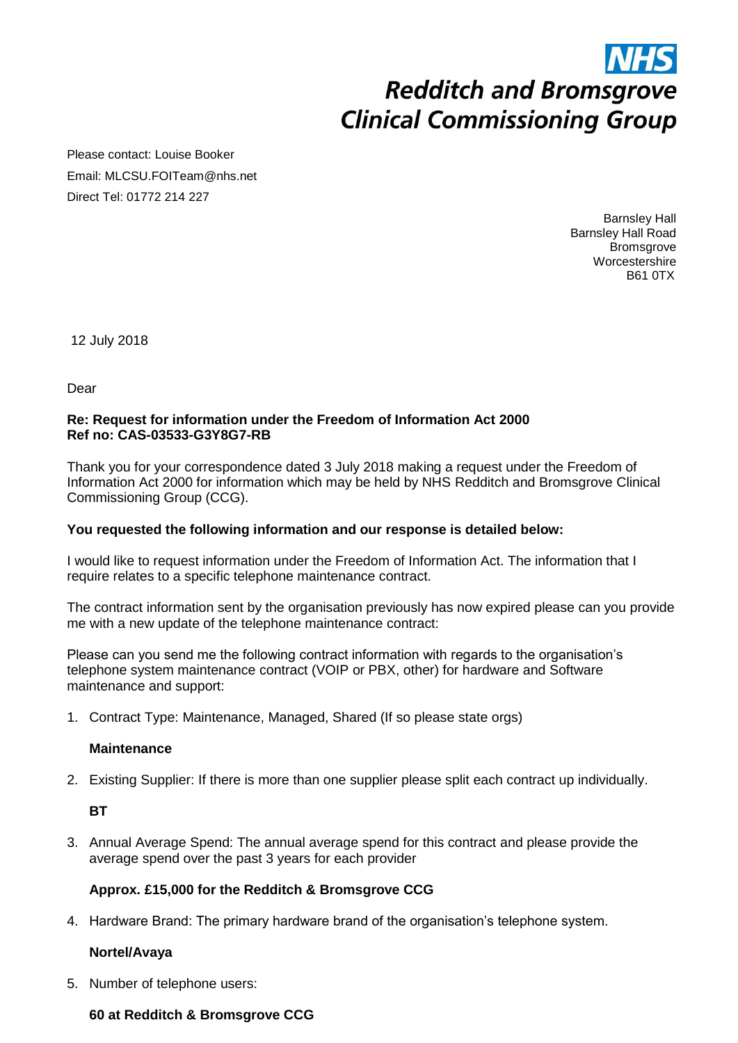Please contact: Louise Booker Email: MLCSU.FOITeam@nhs.net Direct Tel: 01772 214 227

> Barnsley Hall Barnsley Hall Road **Bromsgrove Worcestershire** B61 0TX

12 July 2018

Dear

#### **Re: Request for information under the Freedom of Information Act 2000 Ref no: CAS-03533-G3Y8G7-RB**

Thank you for your correspondence dated 3 July 2018 making a request under the Freedom of Information Act 2000 for information which may be held by NHS Redditch and Bromsgrove Clinical Commissioning Group (CCG).

#### **You requested the following information and our response is detailed below:**

I would like to request information under the Freedom of Information Act. The information that I require relates to a specific telephone maintenance contract.

The contract information sent by the organisation previously has now expired please can you provide me with a new update of the telephone maintenance contract:

Please can you send me the following contract information with regards to the organisation's telephone system maintenance contract (VOIP or PBX, other) for hardware and Software maintenance and support:

1. Contract Type: Maintenance, Managed, Shared (If so please state orgs)

#### **Maintenance**

2. Existing Supplier: If there is more than one supplier please split each contract up individually.

**BT** 

3. Annual Average Spend: The annual average spend for this contract and please provide the average spend over the past 3 years for each provider

#### **Approx. £15,000 for the Redditch & Bromsgrove CCG**

4. Hardware Brand: The primary hardware brand of the organisation's telephone system.

#### **Nortel/Avaya**

5. Number of telephone users:

#### **60 at Redditch & Bromsgrove CCG**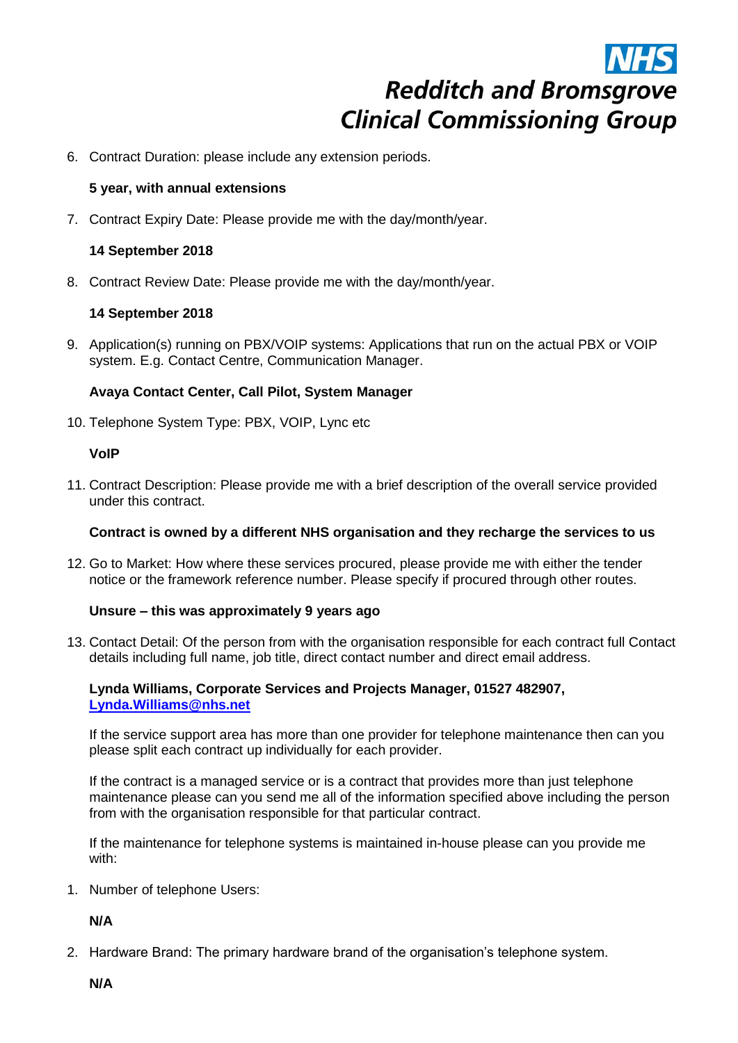6. Contract Duration: please include any extension periods.

#### **5 year, with annual extensions**

7. Contract Expiry Date: Please provide me with the day/month/year.

#### **14 September 2018**

8. Contract Review Date: Please provide me with the day/month/year.

#### **14 September 2018**

9. Application(s) running on PBX/VOIP systems: Applications that run on the actual PBX or VOIP system. E.g. Contact Centre, Communication Manager.

#### **Avaya Contact Center, Call Pilot, System Manager**

10. Telephone System Type: PBX, VOIP, Lync etc

#### **VoIP**

11. Contract Description: Please provide me with a brief description of the overall service provided under this contract.

#### **Contract is owned by a different NHS organisation and they recharge the services to us**

12. Go to Market: How where these services procured, please provide me with either the tender notice or the framework reference number. Please specify if procured through other routes.

#### **Unsure – this was approximately 9 years ago**

13. Contact Detail: Of the person from with the organisation responsible for each contract full Contact details including full name, job title, direct contact number and direct email address.

#### **Lynda Williams, Corporate Services and Projects Manager, 01527 482907, [Lynda.Williams@nhs.net](mailto:Lynda.Williams@nhs.net)**

If the service support area has more than one provider for telephone maintenance then can you please split each contract up individually for each provider.

If the contract is a managed service or is a contract that provides more than just telephone maintenance please can you send me all of the information specified above including the person from with the organisation responsible for that particular contract.

If the maintenance for telephone systems is maintained in-house please can you provide me with:

1. Number of telephone Users:

**N/A**

2. Hardware Brand: The primary hardware brand of the organisation's telephone system.

**N/A**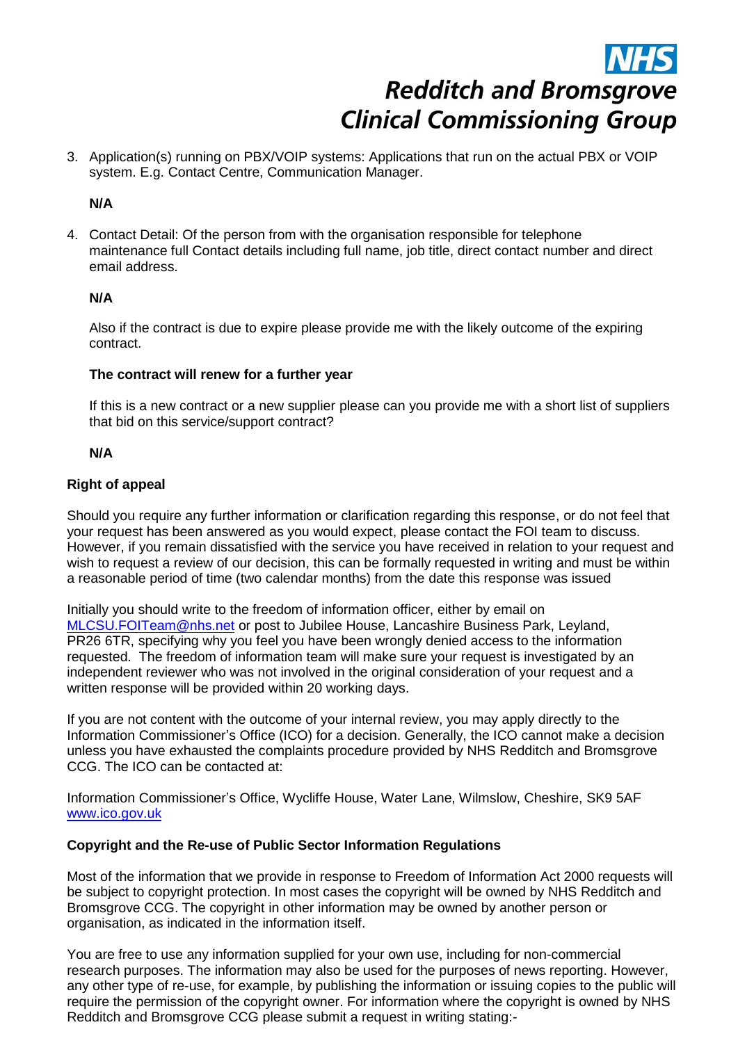3. Application(s) running on PBX/VOIP systems: Applications that run on the actual PBX or VOIP system. E.g. Contact Centre, Communication Manager.

#### **N/A**

4. Contact Detail: Of the person from with the organisation responsible for telephone maintenance full Contact details including full name, job title, direct contact number and direct email address.

#### **N/A**

Also if the contract is due to expire please provide me with the likely outcome of the expiring contract.

#### **The contract will renew for a further year**

If this is a new contract or a new supplier please can you provide me with a short list of suppliers that bid on this service/support contract?

#### **N/A**

#### **Right of appeal**

Should you require any further information or clarification regarding this response, or do not feel that your request has been answered as you would expect, please contact the FOI team to discuss. However, if you remain dissatisfied with the service you have received in relation to your request and wish to request a review of our decision, this can be formally requested in writing and must be within a reasonable period of time (two calendar months) from the date this response was issued

Initially you should write to the freedom of information officer, either by email on [MLCSU.FOITeam@nhs.net](mailto:MLCSU.FOITeam@nhs.net) or post to Jubilee House, Lancashire Business Park, Leyland, PR26 6TR, specifying why you feel you have been wrongly denied access to the information requested. The freedom of information team will make sure your request is investigated by an independent reviewer who was not involved in the original consideration of your request and a written response will be provided within 20 working days.

If you are not content with the outcome of your internal review, you may apply directly to the Information Commissioner's Office (ICO) for a decision. Generally, the ICO cannot make a decision unless you have exhausted the complaints procedure provided by NHS Redditch and Bromsgrove CCG. The ICO can be contacted at:

Information Commissioner's Office, Wycliffe House, Water Lane, Wilmslow, Cheshire, SK9 5AF [www.ico.gov.uk](http://www.ico.gov.uk/) 

#### **Copyright and the Re-use of Public Sector Information Regulations**

Most of the information that we provide in response to Freedom of Information Act 2000 requests will be subject to copyright protection. In most cases the copyright will be owned by NHS Redditch and Bromsgrove CCG. The copyright in other information may be owned by another person or organisation, as indicated in the information itself.

You are free to use any information supplied for your own use, including for non-commercial research purposes. The information may also be used for the purposes of news reporting. However, any other type of re-use, for example, by publishing the information or issuing copies to the public will require the permission of the copyright owner. For information where the copyright is owned by NHS Redditch and Bromsgrove CCG please submit a request in writing stating:-